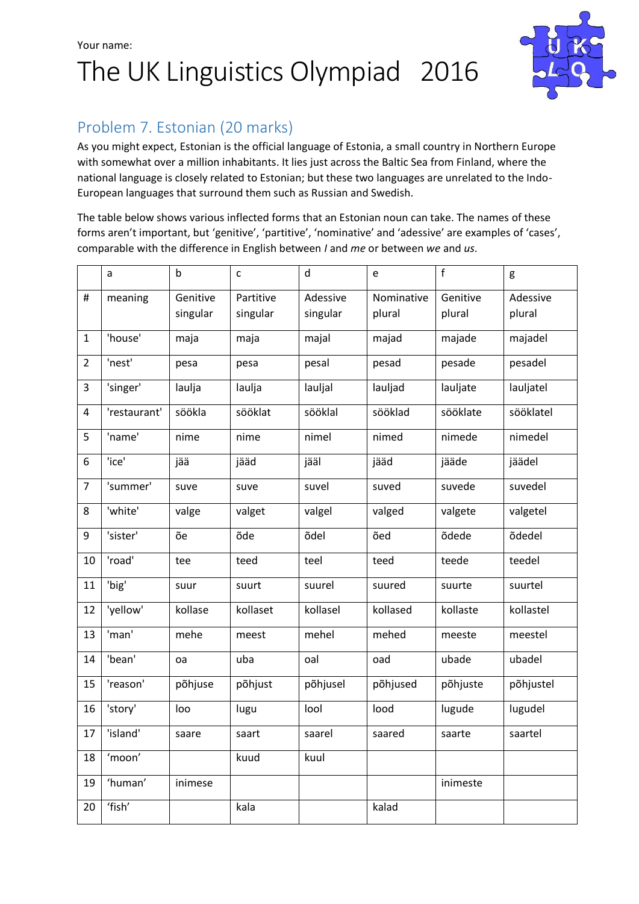# Your name: The UK Linguistics Olympiad 2016



## Problem 7. Estonian (20 marks)

As you might expect, Estonian is the official language of Estonia, a small country in Northern Europe with somewhat over a million inhabitants. It lies just across the Baltic Sea from Finland, where the national language is closely related to Estonian; but these two languages are unrelated to the Indo-European languages that surround them such as Russian and Swedish.

The table below shows various inflected forms that an Estonian noun can take. The names of these forms aren't important, but 'genitive', 'partitive', 'nominative' and 'adessive' are examples of 'cases', comparable with the difference in English between *I* and *me* or between *we* and *us*.

|                | a            | $\mathsf{b}$ | C         | $\mathsf{d}$ | e          | f        | g         |
|----------------|--------------|--------------|-----------|--------------|------------|----------|-----------|
| $\#$           | meaning      | Genitive     | Partitive | Adessive     | Nominative | Genitive | Adessive  |
|                |              | singular     | singular  | singular     | plural     | plural   | plural    |
| $\mathbf{1}$   | 'house'      | maja         | maja      | majal        | majad      | majade   | majadel   |
| $\overline{2}$ | 'nest'       | pesa         | pesa      | pesal        | pesad      | pesade   | pesadel   |
| 3              | 'singer'     | laulja       | laulja    | lauljal      | lauljad    | lauljate | lauljatel |
| 4              | 'restaurant' | söökla       | sööklat   | sööklal      | sööklad    | sööklate | sööklatel |
| 5              | 'name'       | nime         | nime      | nimel        | nimed      | nimede   | nimedel   |
| 6              | 'ice'        | jää          | jääd      | jääl         | jääd       | jääde    | jäädel    |
| $\overline{7}$ | 'summer'     | suve         | suve      | suvel        | suved      | suvede   | suvedel   |
| 8              | 'white'      | valge        | valget    | valgel       | valged     | valgete  | valgetel  |
| 9              | 'sister'     | õe           | õde       | õdel         | õed        | õdede    | õdedel    |
| 10             | 'road'       | tee          | teed      | teel         | teed       | teede    | teedel    |
| 11             | 'big'        | suur         | suurt     | suurel       | suured     | suurte   | suurtel   |
| 12             | 'yellow'     | kollase      | kollaset  | kollasel     | kollased   | kollaste | kollastel |
| 13             | 'man'        | mehe         | meest     | mehel        | mehed      | meeste   | meestel   |
| 14             | 'bean'       | oa           | uba       | oal          | oad        | ubade    | ubadel    |
| 15             | 'reason'     | põhjuse      | põhjust   | põhjusel     | põhjused   | põhjuste | põhjustel |
| 16             | 'story'      | loo          | lugu      | lool         | lood       | lugude   | lugudel   |
| 17             | 'island'     | saare        | saart     | saarel       | saared     | saarte   | saartel   |
| 18             | 'moon'       |              | kuud      | kuul         |            |          |           |
| 19             | 'human'      | inimese      |           |              |            | inimeste |           |
| 20             | 'fish'       |              | kala      |              | kalad      |          |           |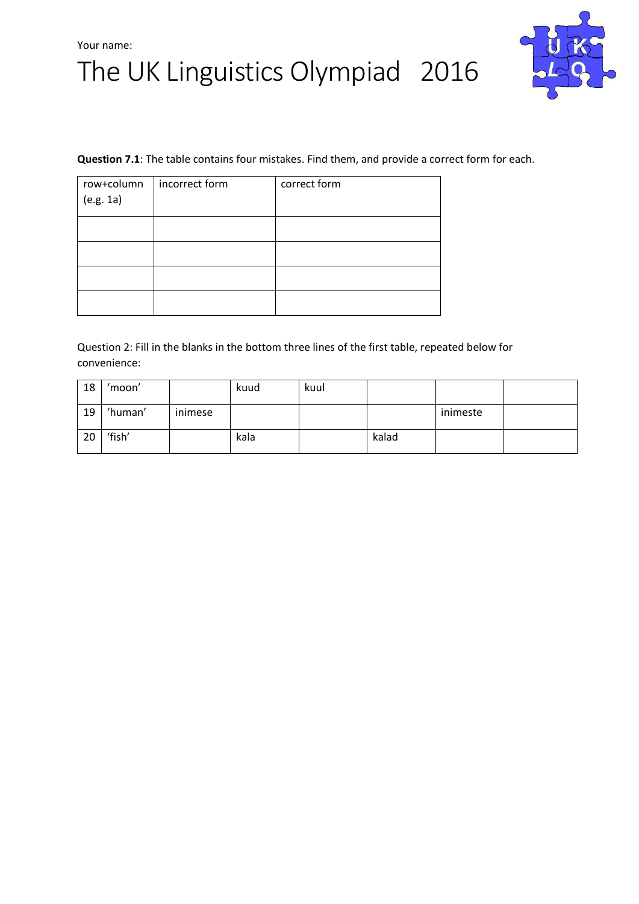# The UK Linguistics Olympiad 2016



#### **Question 7.1**: The table contains four mistakes. Find them, and provide a correct form for each.

| row+column<br>(e.g. 1a) | incorrect form | correct form |
|-------------------------|----------------|--------------|
|                         |                |              |
|                         |                |              |
|                         |                |              |
|                         |                |              |

Question 2: Fill in the blanks in the bottom three lines of the first table, repeated below for convenience:

| 18 | 'moon'  |         | kuud | kuul |       |          |  |
|----|---------|---------|------|------|-------|----------|--|
| 19 | 'human' | inimese |      |      |       | inimeste |  |
| 20 | 'fish'  |         | kala |      | kalad |          |  |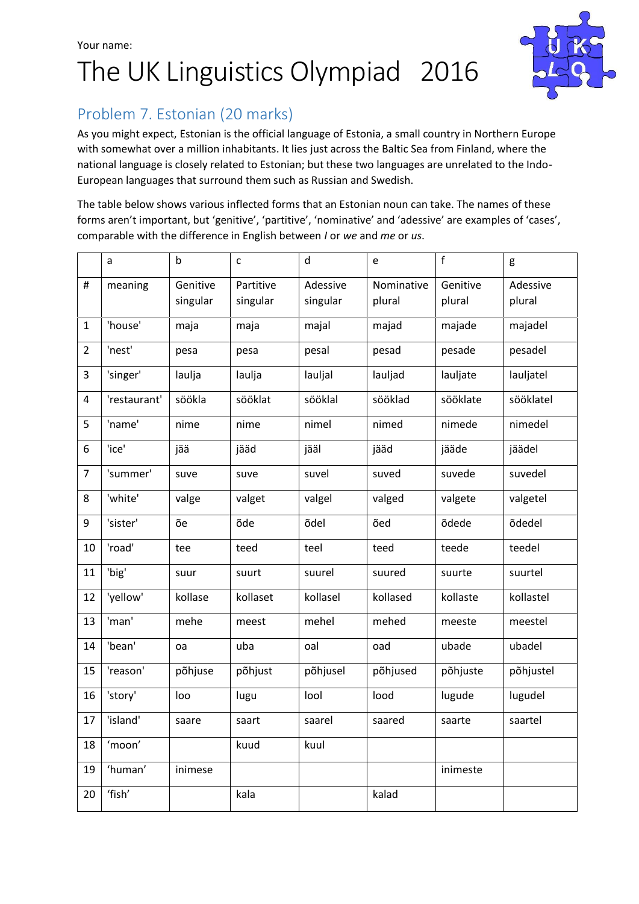# Your name: The UK Linguistics Olympiad 2016



## Problem 7. Estonian (20 marks)

As you might expect, Estonian is the official language of Estonia, a small country in Northern Europe with somewhat over a million inhabitants. It lies just across the Baltic Sea from Finland, where the national language is closely related to Estonian; but these two languages are unrelated to the Indo-European languages that surround them such as Russian and Swedish.

The table below shows various inflected forms that an Estonian noun can take. The names of these forms aren't important, but 'genitive', 'partitive', 'nominative' and 'adessive' are examples of 'cases', comparable with the difference in English between *I* or *we* and *me* or *us*.

|                | a            | $\mathsf b$          | $\mathsf{C}$          | d                    | e                    | $\mathsf{f}$       | g                  |
|----------------|--------------|----------------------|-----------------------|----------------------|----------------------|--------------------|--------------------|
| #              | meaning      | Genitive<br>singular | Partitive<br>singular | Adessive<br>singular | Nominative<br>plural | Genitive<br>plural | Adessive<br>plural |
| 1              | 'house'      | maja                 | maja                  | majal                | majad                | majade             | majadel            |
| $\overline{2}$ | 'nest'       | pesa                 | pesa                  | pesal                | pesad                | pesade             | pesadel            |
| 3              | 'singer'     | laulja               | laulja                | lauljal              | lauljad              | lauljate           | lauljatel          |
| 4              | 'restaurant' | söökla               | sööklat               | sööklal              | sööklad              | sööklate           | sööklatel          |
| 5              | 'name'       | nime                 | nime                  | nimel                | nimed                | nimede             | nimedel            |
| 6              | 'ice'        | jää                  | jääd                  | jääl                 | jääd                 | jääde              | jäädel             |
| $\overline{7}$ | 'summer'     | suve                 | suve                  | suvel                | suved                | suvede             | suvedel            |
| 8              | 'white'      | valge                | valget                | valgel               | valged               | valgete            | valgetel           |
| 9              | 'sister'     | õe                   | õde                   | õdel                 | õed                  | õdede              | õdedel             |
| 10             | 'road'       | tee                  | teed                  | teel                 | teed                 | teede              | teedel             |
| 11             | 'big'        | suur                 | suurt                 | suurel               | suured               | suurte             | suurtel            |
| 12             | 'yellow'     | kollase              | kollaset              | kollasel             | kollased             | kollaste           | kollastel          |
| 13             | 'man'        | mehe                 | meest                 | mehel                | mehed                | meeste             | meestel            |
| 14             | 'bean'       | oa                   | uba                   | oal                  | oad                  | ubade              | ubadel             |
| 15             | 'reason'     | põhjuse              | põhjust               | põhjusel             | põhjused             | põhjuste           | põhjustel          |
| 16             | 'story'      | loo                  | lugu                  | lool                 | lood                 | lugude             | lugudel            |
| 17             | 'island'     | saare                | saart                 | saarel               | saared               | saarte             | saartel            |
| 18             | 'moon'       |                      | kuud                  | kuul                 |                      |                    |                    |
| 19             | 'human'      | inimese              |                       |                      |                      | inimeste           |                    |
| 20             | 'fish'       |                      | kala                  |                      | kalad                |                    |                    |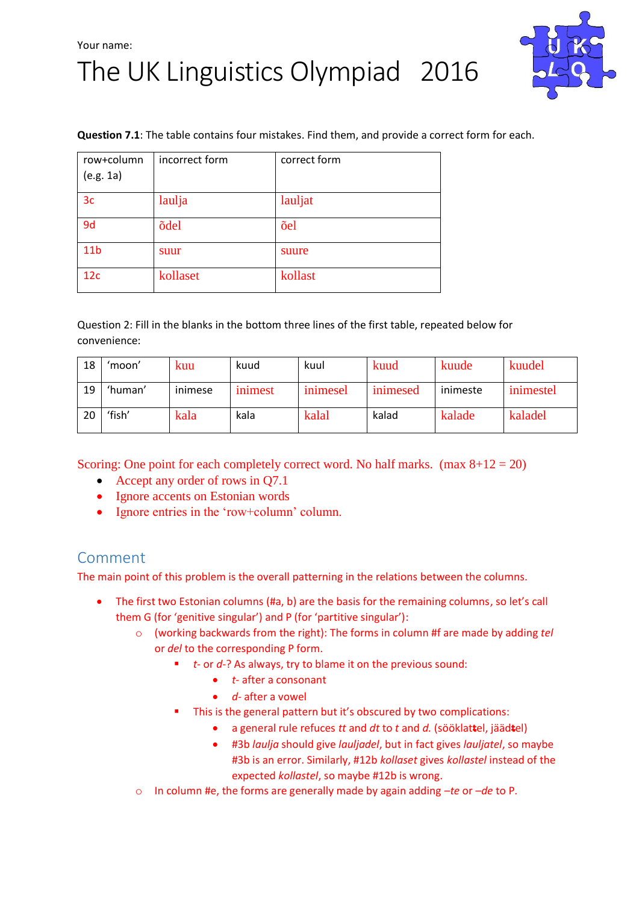## Your name: The UK Linguistics Olympiad 2016



#### **Question 7.1**: The table contains four mistakes. Find them, and provide a correct form for each.

| row+column<br>(e.g. 1a) | incorrect form | correct form |
|-------------------------|----------------|--------------|
| 3 <sub>c</sub>          | laulja         | lauljat      |
| 9d                      | õdel           | õel          |
| 11 <sub>b</sub>         | suur           | suure        |
| 12c                     | kollaset       | kollast      |

Question 2: Fill in the blanks in the bottom three lines of the first table, repeated below for convenience:

| 18 | 'moon'  | kuu     | kuud    | kuul     | kuud     | kuude    | kuudel    |
|----|---------|---------|---------|----------|----------|----------|-----------|
| 19 | 'human' | inimese | inimest | inimesel | inimesed | inimeste | inimestel |
| 20 | ʻfish'  | kala    | kala    | kalal    | kalad    | kalade   | kaladel   |

Scoring: One point for each completely correct word. No half marks. (max  $8+12 = 20$ )

- Accept any order of rows in Q7.1
- Ignore accents on Estonian words
- Ignore entries in the 'row+column' column.

### Comment

The main point of this problem is the overall patterning in the relations between the columns.

- The first two Estonian columns (#a, b) are the basis for the remaining columns, so let's call them G (for 'genitive singular') and P (for 'partitive singular'):
	- o (working backwards from the right): The forms in column #f are made by adding *tel* or *del* to the corresponding P form.
		- *t-* or *d-*? As always, try to blame it on the previous sound:
			- *t-* after a consonant
			- *d-* after a vowel
			- This is the general pattern but it's obscured by two complications:
				- a general rule refuces *tt* and *dt* to *t* and *d.* (sööklat**t**el, jääd**t**el)
				- #3b *laulja* should give *lauljadel*, but in fact gives *lauljatel*, so maybe #3b is an error. Similarly, #12b *kollaset* gives *kollastel* instead of the expected *kollastel*, so maybe #12b is wrong.
	- o In column #e, the forms are generally made by again adding *–te* or *–de* to P.